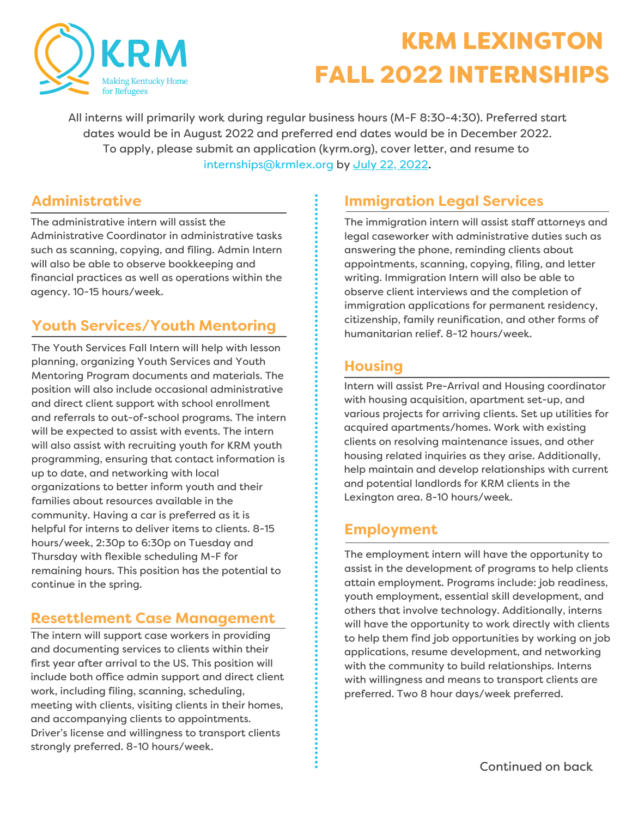

# KRM LEXINGTON FALL 2022 INTERNSHIPS

All interns will primarily work during regular business hours (M-F 8:30-4:30). Preferred start dates would be in August 2022 and preferred end dates would be in December 2022. To apply, please submit an application (kyrm.org), cover letter, and resume to internships@krmlex.org by July 22, 2022.

#### **Administrative**

The administrative intern will assist the Administrative Coordinator in administrative tasks such as scanning, copying, and filing. Admin Intern will also be able to observe bookkeeping and financial practices as well as operations within the agency. 10-15 hours/week.

# **Youth Services/Youth Mentoring**

The Youth Services Fall Intern will help with lesson planning, organizing Youth Services and Youth Mentoring Program documents and materials. The position will also include occasional administrative and direct client support with school enrollment and referrals to out-of-school programs. The intern will be expected to assist with events. The intern will also assist with recruiting youth for KRM youth programming, ensuring that contact information is up to date, and networking with local organizations to better inform youth and their families about resources available in the community. Having a car is preferred as it is helpful for interns to deliver items to clients. 8-15 hours/week, 2:30p to 6:30p on Tuesday and Thursday with flexible scheduling M-F for remaining hours. This position has the potential to continue in the spring.

## **Resettlement Case Management**

The intern will support case workers in providing and documenting services to clients within their first year after arrival to the US. This position will include both office admin support and direct client work, including filing, scanning, scheduling, meeting with clients, visiting clients in their homes, and accompanying clients to appointments. Driver's license and willingness to transport clients strongly preferred. 8-10 hours/week.

## **Immigration Legal Services**

The immigration intern will assist staff attorneys and legal caseworker with administrative duties such as answering the phone, reminding clients about appointments, scanning, copying, filing, and letter writing. Immigration Intern will also be able to observe client interviews and the completion of immigration applications for permanent residency, citizenship, family reunification, and other forms of humanitarian relief. 8-12 hours/week.

## **Housing**

Intern will assist Pre-Arrival and Housing coordinator with housing acquisition, apartment set-up, and various projects for arriving clients. Set up utilities for acquired apartments/homes. Work with existing clients on resolving maintenance issues, and other housing related inquiries as they arise. Additionally, help maintain and develop relationships with current and potential landlords for KRM clients in the Lexington area. 8-10 hours/week.

## **Employment**

The employment intern will have the opportunity to assist in the development of programs to help clients attain employment. Programs include: job readiness, youth employment, essential skill development, and others that involve technology. Additionally, interns will have the opportunity to work directly with clients to help them find job opportunities by working on job applications, resume development, and networking with the community to build relationships. Interns with willingness and means to transport clients are preferred. Two 8 hour days/week preferred.